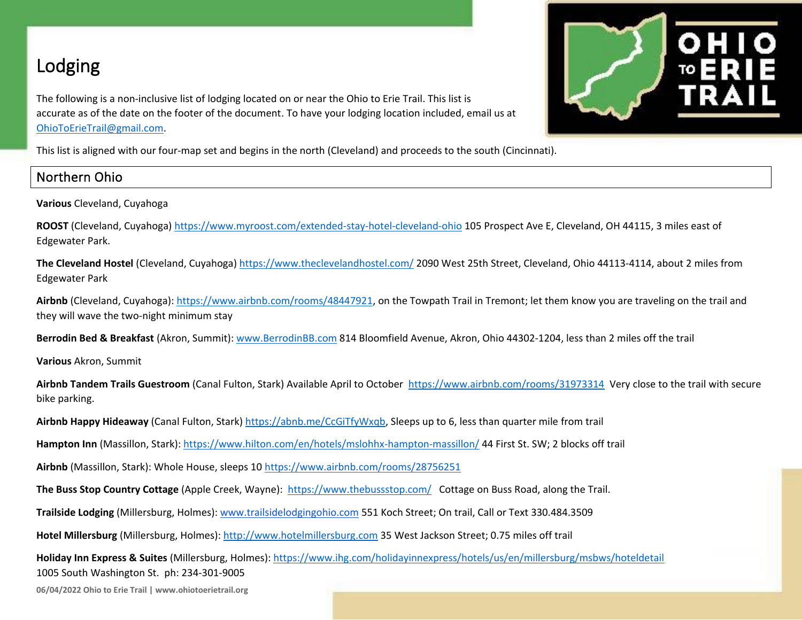# Lodging

The following is a non-inclusive list of lodging located on or near the Ohio to Erie Trail. This list is accurate as of the date on the footer of the document. To have your lodging location included, email us at [OhioToErieTrail@gmail.com.](mailto:OhioToErieTrail@gmail.com)



This list is aligned with our four-map set and begins in the north (Cleveland) and proceeds to the south (Cincinnati).

## Northern Ohio

**Various** Cleveland, Cuyahoga

**ROOST** (Cleveland, Cuyahoga)<https://www.myroost.com/extended-stay-hotel-cleveland-ohio> 105 Prospect Ave E, Cleveland, OH 44115, 3 miles east of Edgewater Park.

**The Cleveland Hostel** (Cleveland, Cuyahoga) <https://www.theclevelandhostel.com/> 2090 West 25th Street, Cleveland, Ohio 44113-4114, about 2 miles from Edgewater Park

**Airbnb** (Cleveland, Cuyahoga)[: https://www.airbnb.com/rooms/48447921,](https://www.airbnb.com/rooms/48447921) on the Towpath Trail in Tremont; let them know you are traveling on the trail and they will wave the two-night minimum stay

**Berrodin Bed & Breakfast** (Akron, Summit): [www.BerrodinBB.com](http://www.berrodinbb.com/) 814 Bloomfield Avenue, Akron, Ohio 44302-1204, less than 2 miles off the trail

**Various** Akron, Summit

**Airbnb Tandem Trails Guestroom** (Canal Fulton, Stark) Available April to October <https://www.airbnb.com/rooms/31973314>Very close to the trail with secure bike parking.

**Airbnb Happy Hideaway** (Canal Fulton, Stark) [https://abnb.me/CcGiTfyWxqb,](https://abnb.me/CcGiTfyWxqb) Sleeps up to 6, less than quarter mile from trail

**Hampton Inn** (Massillon, Stark): <https://www.hilton.com/en/hotels/mslohhx-hampton-massillon/> 44 First St. SW; 2 blocks off trail

**Airbnb** (Massillon, Stark): Whole House, sleeps 10<https://www.airbnb.com/rooms/28756251>

**The Buss Stop Country Cottage** (Apple Creek, Wayne): <https://www.thebussstop.com/> Cottage on Buss Road, along the Trail.

**Trailside Lodging** (Millersburg, Holmes)[: www.trailsidelodgingohio.com](http://www.trailsidelodgingohio.com/) 551 Koch Street; On trail, Call or Text 330.484.3509

**Hotel Millersburg** (Millersburg, Holmes)[: http://www.hotelmillersburg.com](http://www.hotelmillersburg.com/) 35 West Jackson Street; 0.75 miles off trail

**Holiday Inn Express & Suites** (Millersburg, Holmes):<https://www.ihg.com/holidayinnexpress/hotels/us/en/millersburg/msbws/hoteldetail> 1005 South Washington St. ph: 234-301-9005

**06/04/2022 Ohio to Erie Trail | www.ohiotoerietrail.org**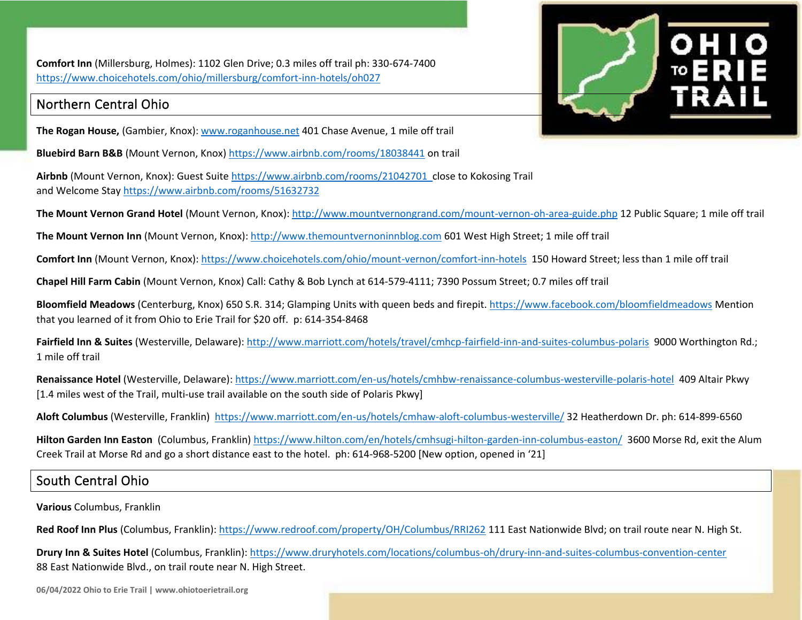**Comfort Inn** (Millersburg, Holmes): 1102 Glen Drive; 0.3 miles off trail ph: 330-674-7400 <https://www.choicehotels.com/ohio/millersburg/comfort-inn-hotels/oh027>

### Northern Central Ohio

**The Rogan House,** (Gambier, Knox)[: www.roganhouse.net](http://www.roganhouse.net/) 401 Chase Avenue, 1 mile off trail

**Bluebird Barn B&B** (Mount Vernon, Knox)<https://www.airbnb.com/rooms/18038441> on trail

**Airbnb** (Mount Vernon, Knox): Guest Suite<https://www.airbnb.com/rooms/21042701> close to Kokosing Trail and Welcome Stay<https://www.airbnb.com/rooms/51632732>



**The Mount Vernon Grand Hotel** (Mount Vernon, Knox):<http://www.mountvernongrand.com/mount-vernon-oh-area-guide.php> 12 Public Square; 1 mile off trail

**The Mount Vernon Inn** (Mount Vernon, Knox)[: http://www.themountvernoninnblog.com](http://www.themountvernoninnblog.com/) 601 West High Street; 1 mile off trail

**Comfort Inn** (Mount Vernon, Knox)[: https://www.choicehotels.com/ohio/mount-vernon/comfort-inn-hotels](https://www.choicehotels.com/ohio/mount-vernon/comfort-inn-hotels) 150 Howard Street; less than 1 mile off trail

**Chapel Hill Farm Cabin** (Mount Vernon, Knox) Call: Cathy & Bob Lynch at 614-579-4111; 7390 Possum Street; 0.7 miles off trail

**Bloomfield Meadows** (Centerburg, Knox) 650 S.R. 314; Glamping Units with queen beds and firepit.<https://www.facebook.com/bloomfieldmeadows> Mention that you learned of it from Ohio to Erie Trail for \$20 off. p: 614-354-8468

**Fairfield Inn & Suites** (Westerville, Delaware):<http://www.marriott.com/hotels/travel/cmhcp-fairfield-inn-and-suites-columbus-polaris> 9000 Worthington Rd.; 1 mile off trail

**Renaissance Hotel** (Westerville, Delaware): <https://www.marriott.com/en-us/hotels/cmhbw-renaissance-columbus-westerville-polaris-hotel>409 Altair Pkwy [1.4 miles west of the Trail, multi-use trail available on the south side of Polaris Pkwy]

**Aloft Columbus** (Westerville, Franklin) <https://www.marriott.com/en-us/hotels/cmhaw-aloft-columbus-westerville/> 32 Heatherdown Dr. ph: 614-899-6560

**Hilton Garden Inn Easton** (Columbus, Franklin)<https://www.hilton.com/en/hotels/cmhsugi-hilton-garden-inn-columbus-easton/>3600 Morse Rd, exit the Alum Creek Trail at Morse Rd and go a short distance east to the hotel. ph: 614-968-5200 [New option, opened in '21]

## South Central Ohio

**Various** Columbus, Franklin

**Red Roof Inn Plus** (Columbus, Franklin):<https://www.redroof.com/property/OH/Columbus/RRI262> 111 East Nationwide Blvd; on trail route near N. High St.

**Drury Inn & Suites Hotel** (Columbus, Franklin): <https://www.druryhotels.com/locations/columbus-oh/drury-inn-and-suites-columbus-convention-center> 88 East Nationwide Blvd., on trail route near N. High Street.

**06/04/2022 Ohio to Erie Trail | www.ohiotoerietrail.org**